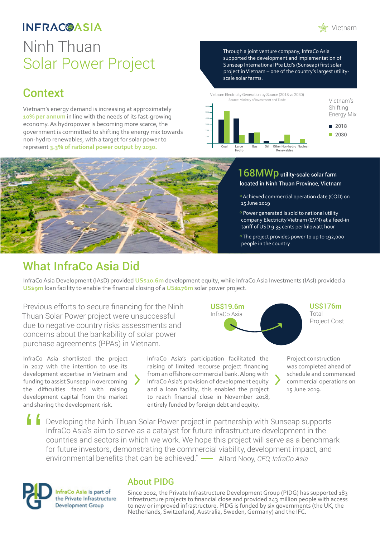## **INFRAC@ASIA**

# Ninh Thuan Solar Power Project

## Context

Vietnam's energy demand is increasing at approximately **10% per annum** in line with the needs of its fast-growing economy. As hydropower is becoming more scarce, the government is committed to shifting the energy mix towards non-hydro renewables, with a target for solar power to represent **3.3% of national power output by 2030.**

Through a joint venture company, InfraCo Asia supported the development and implementation of Sunseap International Pte Ltd's (Sunseap) first solar project in Vietnam – one of the country's largest utilityscale solar farms.





#### 168MWp utility-scale solar farm located in Ninh Thuan Province, Vietnam

- º Achieved commercial operation date (COD) on 15 June 2019
- º Power generated is sold to national utility company Electricity Vietnam (EVN) at a feed-in tariff of USD 9.35 cents per kilowatt hour
- º The project provides power to up to 192,000 people in the country

## What InfraCo Asia Did

InfraCo Asia Development (IAsD) provided **US\$10.6m** development equity, while InfraCo Asia Investments (IAsI) provided a **US\$9m** loan facility to enable the financial closing of a **US\$176m** solar power project.

Previous efforts to secure financing for the Ninh Thuan Solar Power project were unsuccessful due to negative country risks assessments and concerns about the bankability of solar power purchase agreements (PPAs) in Vietnam.



US\$176m Total Project Cost

InfraCo Asia shortlisted the project in 2017 with the intention to use its development expertise in Vietnam and funding to assist Sunseap in overcoming the difficulties faced with raising development capital from the market and sharing the development risk.

InfraCo Asia's participation facilitated the raising of limited recourse project financing from an offshore commercial bank. Along with InfraCo Asia's provision of development equity and a loan facility, this enabled the project to reach financial close in November 2018, entirely funded by foreign debt and equity.

Project construction was completed ahead of schedule and commenced commercial operations on 15 June 2019.

Developing the Ninh Thuan Solar Power project in partnership with Sunseap supports InfraCo Asia's aim to serve as a catalyst for future infrastructure development in the countries and sectors in which we work. We hope this project will serve as a benchmark for future investors, demonstrating the commercial viability, development impact, and environmental benefits that can be achieved." Allard Nooy, *CEO, InfraCo Asia* "



### About PIDG

Since 2002, the Private Infrastructure Development Group (PIDG) has supported 183 infrastructure projects to financial close and provided 243 million people with access to new or improved infrastructure. PIDG is funded by six governments (the UK, the Netherlands, Switzerland, Australia, Sweden, Germany) and the IFC.